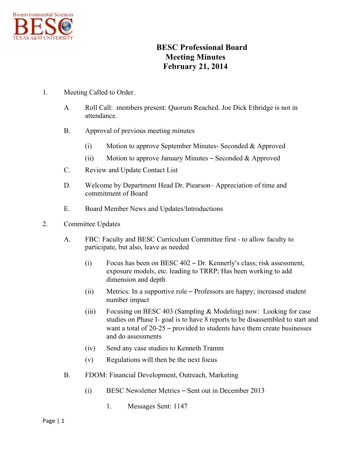

## **BESC Professional Board Meeting Minutes February 21, 2014**

## 1. Meeting Called to Order.

- A. Roll Call: members present: Quorum Reached. Joe Dick Ethridge is not in attendance.
- B. Approval of previous meeting minutes
	- (i) Motion to approve September Minutes- Seconded & Approved
	- (ii) Motion to approve January Minutes Seconded & Approved
- C. Review and Update Contact List
- D. Welcome by Department Head Dr. Piearson– Appreciation of time and commitment of Board
- E. Board Member News and Updates/Introductions
- 2. Committee Updates
	- A. FBC: Faculty and BESC Curriculum Committee first to allow faculty to participate, but also, leave as needed
		- (i) Focus has been on BESC 402 Dr. Kennerly's class; risk assessment, exposure models, etc. leading to TRRP; Has been working to add dimension and depth
		- (ii) Metrics: In a supportive role Professors are happy; increased student number impact
		- (iii) Focusing on BESC 403 (Sampling & Modeling) now: Looking for case studies on Phase I- goal is to have 8 reports to be disassembled to start and want a total of 20-25 – provided to students have them create businesses and do assessments
		- (iv) Send any case studies to Kenneth Tramm
		- (v) Regulations will then be the next focus
	- B. FDOM: Financial Development, Outreach, Marketing
		- (i) BESC Newsletter Metrics Sent out in December 2013
			- 1. Messages Sent: 1147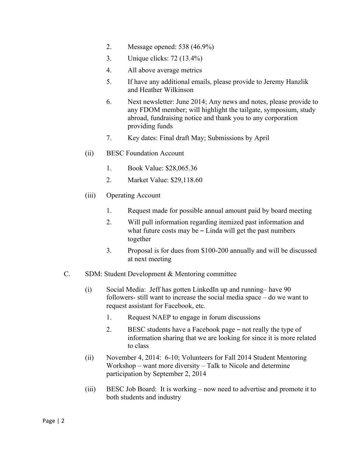- 2. Message opened: 538 (46.9%)
- 3. Unique clicks: 72 (13.4%)
- 4. All above average metrics
- 5. If have any additional emails, please provide to Jeremy Hanzlik and Heather Wilkinson
- 6. Next newsletter: June 2014; Any news and notes, please provide to any FDOM member; will highlight the tailgate, symposium, study abroad, fundraising notice and thank you to any corporation providing funds
- 7. Key dates: Final draft May; Submissions by April
- (ii) BESC Foundation Account
	- 1. Book Value: \$28,065.36
	- 2. Market Value: \$29,118.60
- (iii) Operating Account
	- 1. Request made for possible annual amount paid by board meeting
	- 2. Will pull information regarding itemized past information and what future costs may be  $-$  Linda will get the past numbers together
	- 3. Proposal is for dues from \$100-200 annually and will be discussed at next meeting
- C. SDM: Student Development & Mentoring committee
	- (i) Social Media: Jeff has gotten LinkedIn up and running– have 90 followers- still want to increase the social media space – do we want to request assistant for Facebook, etc.
		- 1. Request NAEP to engage in forum discussions
		- 2. BESC students have a Facebook page not really the type of information sharing that we are looking for since it is more related to class
	- (ii) November 4, 2014: 6-10; Volunteers for Fall 2014 Student Mentoring Workshop – want more diversity – Talk to Nicole and determine participation by September 2, 2014
	- (iii) BESC Job Board: It is working now need to advertise and promote it to both students and industry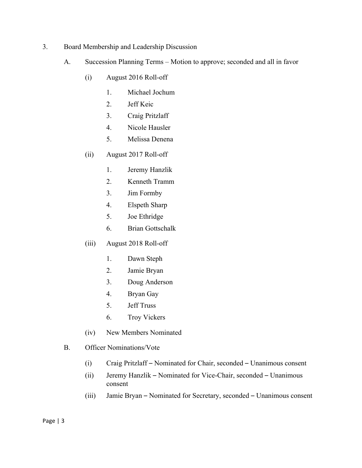- 3. Board Membership and Leadership Discussion
	- A. Succession Planning Terms Motion to approve; seconded and all in favor
		- (i) August 2016 Roll-off
			- 1. Michael Jochum
			- 2. Jeff Keic
			- 3. Craig Pritzlaff
			- 4. Nicole Hausler
			- 5. Melissa Denena
		- (ii) August 2017 Roll-off
			- 1. Jeremy Hanzlik
			- 2. Kenneth Tramm
			- 3. Jim Formby
			- 4. Elspeth Sharp
			- 5. Joe Ethridge
			- 6. Brian Gottschalk
		- (iii) August 2018 Roll-off
			- 1. Dawn Steph
			- 2. Jamie Bryan
			- 3. Doug Anderson
			- 4. Bryan Gay
			- 5. Jeff Truss
			- 6. Troy Vickers
		- (iv) New Members Nominated
	- B. Officer Nominations/Vote
		- (i) Craig Pritzlaff Nominated for Chair, seconded Unanimous consent
		- (ii) Jeremy Hanzlik Nominated for Vice-Chair, seconded Unanimous consent
		- (iii) Jamie Bryan Nominated for Secretary, seconded Unanimous consent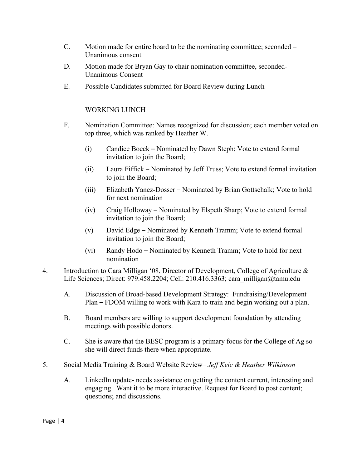- C. Motion made for entire board to be the nominating committee; seconded Unanimous consent
- D. Motion made for Bryan Gay to chair nomination committee, seconded-Unanimous Consent
- E. Possible Candidates submitted for Board Review during Lunch

## WORKING LUNCH

- F. Nomination Committee: Names recognized for discussion; each member voted on top three, which was ranked by Heather W.
	- (i) Candice Boeck Nominated by Dawn Steph; Vote to extend formal invitation to join the Board;
	- (ii) Laura Fiffick Nominated by Jeff Truss; Vote to extend formal invitation to join the Board;
	- (iii) Elizabeth Yanez-Dosser Nominated by Brian Gottschalk; Vote to hold for next nomination
	- (iv) Craig Holloway Nominated by Elspeth Sharp; Vote to extend formal invitation to join the Board;
	- (v) David Edge Nominated by Kenneth Tramm; Vote to extend formal invitation to join the Board;
	- (vi) Randy Hodo Nominated by Kenneth Tramm; Vote to hold for next nomination
- 4. Introduction to Cara Milligan '08, Director of Development, College of Agriculture & Life Sciences; Direct: 979.458.2204; Cell: 210.416.3363; cara\_milligan@tamu.edu
	- A. Discussion of Broad-based Development Strategy: Fundraising/Development Plan – FDOM willing to work with Kara to train and begin working out a plan.
	- B. Board members are willing to support development foundation by attending meetings with possible donors.
	- C. She is aware that the BESC program is a primary focus for the College of Ag so she will direct funds there when appropriate.
- 5. Social Media Training & Board Website Review– *Jeff Keic & Heather Wilkinson*
	- A. LinkedIn update- needs assistance on getting the content current, interesting and engaging. Want it to be more interactive. Request for Board to post content; questions; and discussions.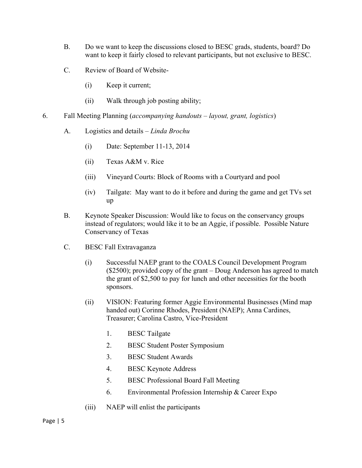- B. Do we want to keep the discussions closed to BESC grads, students, board? Do want to keep it fairly closed to relevant participants, but not exclusive to BESC.
- C. Review of Board of Website-
	- (i) Keep it current;
	- (ii) Walk through job posting ability;
- 6. Fall Meeting Planning (*accompanying handouts – layout, grant, logistics*)
	- A. Logistics and details *Linda Brochu*
		- (i) Date: September 11-13, 2014
		- (ii) Texas A&M v. Rice
		- (iii) Vineyard Courts: Block of Rooms with a Courtyard and pool
		- (iv) Tailgate: May want to do it before and during the game and get TVs set up
	- B. Keynote Speaker Discussion: Would like to focus on the conservancy groups instead of regulators; would like it to be an Aggie, if possible. Possible Nature Conservancy of Texas
	- C. BESC Fall Extravaganza
		- (i) Successful NAEP grant to the COALS Council Development Program (\$2500); provided copy of the grant – Doug Anderson has agreed to match the grant of \$2,500 to pay for lunch and other necessities for the booth sponsors.
		- (ii) VISION: Featuring former Aggie Environmental Businesses (Mind map handed out) Corinne Rhodes, President (NAEP); Anna Cardines, Treasurer; Carolina Castro, Vice-President
			- 1. BESC Tailgate
			- 2. BESC Student Poster Symposium
			- 3. BESC Student Awards
			- 4. BESC Keynote Address
			- 5. BESC Professional Board Fall Meeting
			- 6. Environmental Profession Internship & Career Expo
		- (iii) NAEP will enlist the participants